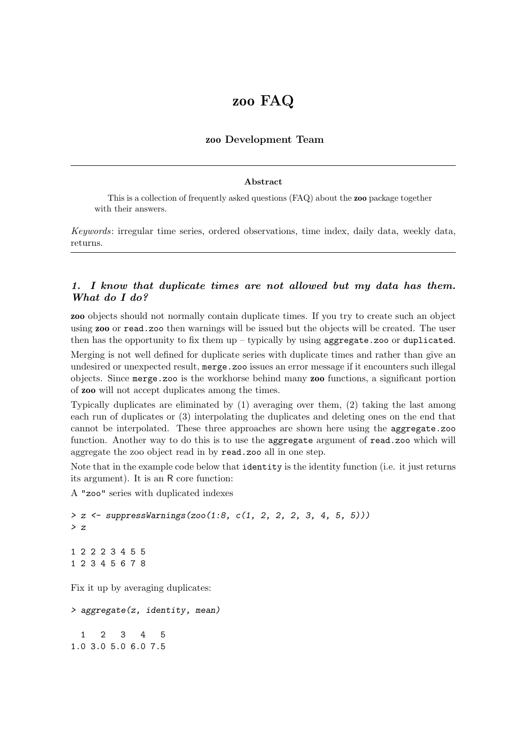# zoo FAQ

## zoo Development Team

#### Abstract

This is a collection of frequently asked questions (FAQ) about the zoo package together with their answers.

Keywords: irregular time series, ordered observations, time index, daily data, weekly data, returns.

## 1. I know that duplicate times are not allowed but my data has them. What do I do?

zoo objects should not normally contain duplicate times. If you try to create such an object using zoo or read.zoo then warnings will be issued but the objects will be created. The user then has the opportunity to fix them  $up$  – typically by using aggregate.zoo or duplicated.

Merging is not well defined for duplicate series with duplicate times and rather than give an undesired or unexpected result, merge.zoo issues an error message if it encounters such illegal objects. Since merge.zoo is the workhorse behind many zoo functions, a significant portion of zoo will not accept duplicates among the times.

Typically duplicates are eliminated by (1) averaging over them, (2) taking the last among each run of duplicates or (3) interpolating the duplicates and deleting ones on the end that cannot be interpolated. These three approaches are shown here using the aggregate.zoo function. Another way to do this is to use the aggregate argument of read.zoo which will aggregate the zoo object read in by read.zoo all in one step.

Note that in the example code below that identity is the identity function (i.e. it just returns its argument). It is an R core function:

A "zoo" series with duplicated indexes

```
> z <- suppressWarnings(zoo(1:8, c(1, 2, 2, 2, 3, 4, 5, 5)))
> z
1 2 2 2 3 4 5 5
1 2 3 4 5 6 7 8
```
Fix it up by averaging duplicates:

```
> aggregate(z, identity, mean)
 1 2 3 4 5
1.0 3.0 5.0 6.0 7.5
```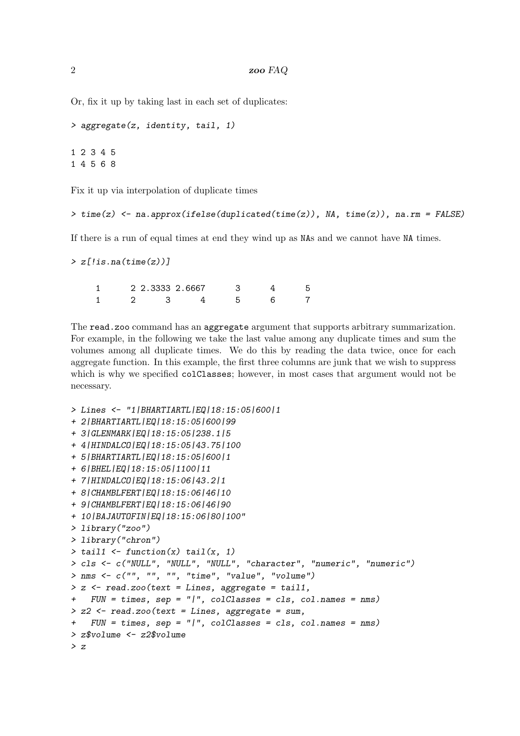Or, fix it up by taking last in each set of duplicates:

```
> aggregate(z, identity, tail, 1)
```
1 2 3 4 5 1 4 5 6 8

Fix it up via interpolation of duplicate times

```
> time(z) <- na.approx(ifelse(duplicated(time(z)), NA, time(z)), na.rm = FALSE)
```
If there is a run of equal times at end they wind up as NAs and we cannot have NA times.

```
> z[!is.na(time(z))]
```

|  | 2 2.3333 2.6667 |  |  |
|--|-----------------|--|--|
|  |                 |  |  |

The read.zoo command has an aggregate argument that supports arbitrary summarization. For example, in the following we take the last value among any duplicate times and sum the volumes among all duplicate times. We do this by reading the data twice, once for each aggregate function. In this example, the first three columns are junk that we wish to suppress which is why we specified colClasses; however, in most cases that argument would not be necessary.

```
> Lines <- "1|BHARTIARTL|EQ|18:15:05|600|1
+ 2|BHARTIARTL|EQ|18:15:05|600|99
+ 3|GLENMARK|EQ|18:15:05|238.1|5
+ 4|HINDALCO|EQ|18:15:05|43.75|100
+ 5|BHARTIARTL|EQ|18:15:05|600|1
+ 6|BHEL|EQ|18:15:05|1100|11
+ 7|HINDALCO|EQ|18:15:06|43.2|1
+ 8|CHAMBLFERT|EQ|18:15:06|46|10
+ 9|CHAMBLFERT|EQ|18:15:06|46|90
+ 10|BAJAUTOFIN|EQ|18:15:06|80|100"
> library("zoo")
> library("chron")
> tail1 <- function(x) tail(x, 1)
> cls <- c("NULL", "NULL", "NULL", "character", "numeric", "numeric")
> nms <- c("", "", "", "time", "value", "volume")
> z <- read.zoo(text = Lines, aggregate = tail1,
+ FUN = times, sep = "|", colClasses = cls, col.names = nms)
> z2 <- read.zoo(text = Lines, aggregate = sum,
   + FUN = times, sep = "|", colClasses = cls, col.names = nms)
> z$volume <- z2$volume
> z
```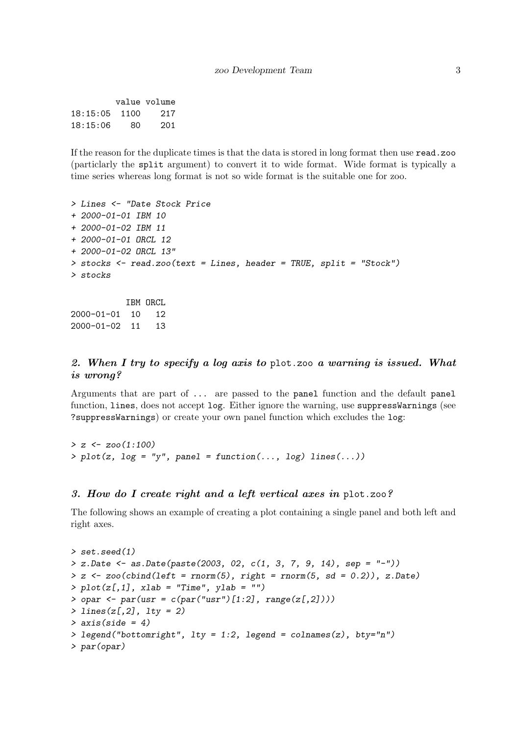|          |      | value volume |
|----------|------|--------------|
| 18:15:05 | 1100 | 217          |
| 18:15:06 | 80   | 201          |

If the reason for the duplicate times is that the data is stored in long format then use read.zoo (particlarly the split argument) to convert it to wide format. Wide format is typically a time series whereas long format is not so wide format is the suitable one for zoo.

```
> Lines <- "Date Stock Price
+ 2000-01-01 IBM 10
+ 2000-01-02 IBM 11
+ 2000-01-01 ORCL 12
+ 2000-01-02 ORCL 13"
> stocks <- read.zoo(text = Lines, header = TRUE, split = "Stock")
> stocks
```
IBM ORCL 2000-01-01 10 12 2000-01-02 11 13

### 2. When I try to specify a log axis to plot.zoo a warning is issued. What is wrong?

Arguments that are part of ... are passed to the panel function and the default panel function, lines, does not accept log. Either ignore the warning, use suppressWarnings (see ?suppressWarnings) or create your own panel function which excludes the log:

*> z <- zoo(1:100) > plot(z, log = "y", panel = function(..., log) lines(...))*

#### 3. How do I create right and a left vertical axes in plot.zoo?

The following shows an example of creating a plot containing a single panel and both left and right axes.

```
> set.seed(1)
> z.Date <- as.Date(paste(2003, 02, c(1, 3, 7, 9, 14), sep = "-"))
> z <- zoo(cbind(left = rnorm(5), right = rnorm(5, sd = 0.2)), z.Date)
> plot(z[,1], xlab = "Time", ylab = "")
> opar <- par(usr = c(par("usr")[1:2], range(z[,2])))
> lines(z[,2], lty = 2)
> axis(side = 4)
> legend("bottomright", lty = 1:2, legend = colnames(z), bty="n")
> par(opar)
```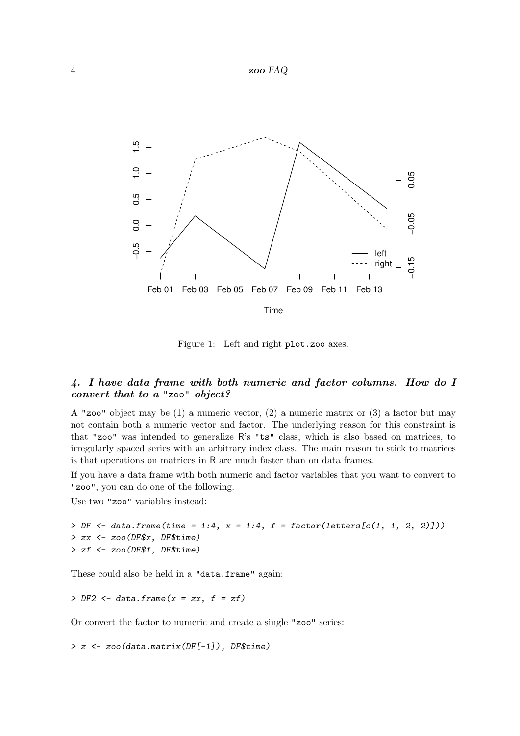#### 4 zoo FAQ



Figure 1: Left and right plot.zoo axes.

#### 4. I have data frame with both numeric and factor columns. How do I convert that to a "zoo" object?

A "zoo" object may be (1) a numeric vector, (2) a numeric matrix or (3) a factor but may not contain both a numeric vector and factor. The underlying reason for this constraint is that "zoo" was intended to generalize R's "ts" class, which is also based on matrices, to irregularly spaced series with an arbitrary index class. The main reason to stick to matrices is that operations on matrices in R are much faster than on data frames.

If you have a data frame with both numeric and factor variables that you want to convert to "zoo", you can do one of the following.

Use two "zoo" variables instead:

```
> DF <- data.frame(time = 1:4, x = 1:4, f = factor(letters[c(1, 1, 2, 2)]))
> zx <- zoo(DF$x, DF$time)
> zf <- zoo(DF$f, DF$time)
```
These could also be held in a "data.frame" again:

*> DF2 <- data.frame(x = zx, f = zf)*

Or convert the factor to numeric and create a single "zoo" series:

*> z <- zoo(data.matrix(DF[-1]), DF\$time)*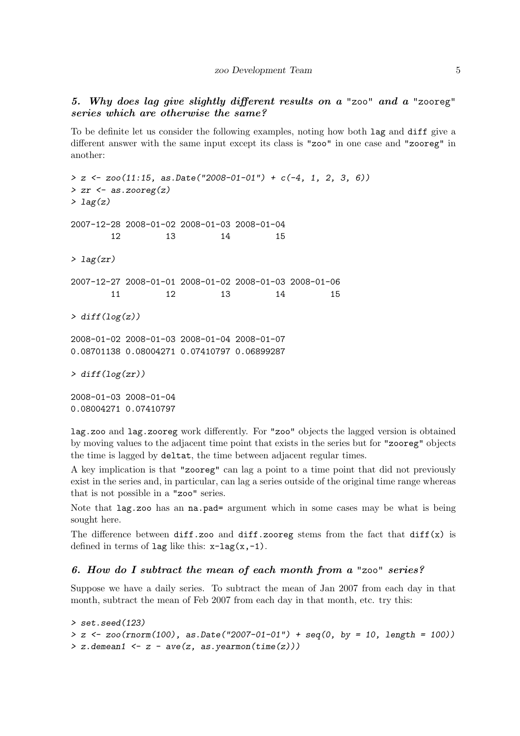## 5. Why does lag give slightly different results on a "zoo" and a "zooreg" series which are otherwise the same?

To be definite let us consider the following examples, noting how both lag and diff give a different answer with the same input except its class is "zoo" in one case and "zooreg" in another:

```
> z <- zoo(11:15, as.Date("2008-01-01") + c(-4, 1, 2, 3, 6))
> zr <- as.zooreg(z)
> lag(z)
2007-12-28 2008-01-02 2008-01-03 2008-01-04
       12 13 14 15
> lag(zr)
2007-12-27 2008-01-01 2008-01-02 2008-01-03 2008-01-06
       11 12 13 14 15
> diff(log(z))
2008-01-02 2008-01-03 2008-01-04 2008-01-07
0.08701138 0.08004271 0.07410797 0.06899287
> diff(log(zr))
2008-01-03 2008-01-04
0.08004271 0.07410797
```
lag.zoo and lag.zooreg work differently. For "zoo" objects the lagged version is obtained by moving values to the adjacent time point that exists in the series but for "zooreg" objects the time is lagged by deltat, the time between adjacent regular times.

A key implication is that "zooreg" can lag a point to a time point that did not previously exist in the series and, in particular, can lag a series outside of the original time range whereas that is not possible in a "zoo" series.

Note that lag.zoo has an na.pad= argument which in some cases may be what is being sought here.

The difference between diff.zoo and diff.zooreg stems from the fact that  $diff(x)$  is defined in terms of lag like this:  $x-\text{lag}(x,-1)$ .

#### 6. How do I subtract the mean of each month from a "zoo" series?

Suppose we have a daily series. To subtract the mean of Jan 2007 from each day in that month, subtract the mean of Feb 2007 from each day in that month, etc. try this:

```
> set.seed(123)
> z <- zoo(rnorm(100), as.Date("2007-01-01") + seq(0, by = 10, length = 100))
> z.demean1 <- z - ave(z, as.yearmon(time(z)))
```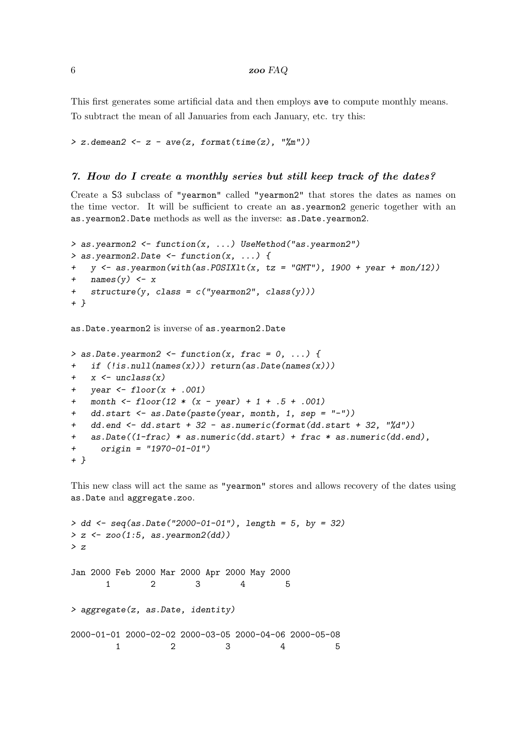This first generates some artificial data and then employs ave to compute monthly means. To subtract the mean of all Januaries from each January, etc. try this:

*> z.demean2 <- z - ave(z, format(time(z), "%m"))*

#### 7. How do I create a monthly series but still keep track of the dates?

Create a S3 subclass of "yearmon" called "yearmon2" that stores the dates as names on the time vector. It will be sufficient to create an as.yearmon2 generic together with an as.yearmon2.Date methods as well as the inverse: as.Date.yearmon2.

```
> as.yearmon2 <- function(x, ...) UseMethod("as.yearmon2")
> as.yearmon2.Date <- function(x, ...) {
   y \leftarrow as.yearmon(with(as.POSIXIt(x, tz = "GMT"), 1900 + year + mon/12))+ names(y) <- x
+ structure(y, class = c("yearmon2", class(y)))
+ }
```
as.Date.yearmon2 is inverse of as.yearmon2.Date

```
> as.Date.yearmon2 <- function(x, frac = 0, ...) {
   if (!is.null(name(x))) return(as.Date(names(x)))
   + x <- unclass(x)
+ year <- floor(x + .001)
   + month <- floor(12 * (x - year) + 1 + .5 + .001)
+ dd.start <- as.Date(paste(year, month, 1, sep = "-"))
+ dd.end <- dd.start + 32 - as.numeric(format(dd.start + 32, "%d"))
   + as.Date((1-frac) * as.numeric(dd.start) + frac * as.numeric(dd.end),
+ origin = "1970-01-01")
+ }
```
This new class will act the same as "yearmon" stores and allows recovery of the dates using as.Date and aggregate.zoo.

```
> dd <- seq(as.Date("2000-01-01"), length = 5, by = 32)
> z <- zoo(1:5, as.yearmon2(dd))
> z
Jan 2000 Feb 2000 Mar 2000 Apr 2000 May 2000
     1 2 3 4 5
> aggregate(z, as.Date, identity)
2000-01-01 2000-02-02 2000-03-05 2000-04-06 2000-05-08
       1 2 3 4 5
```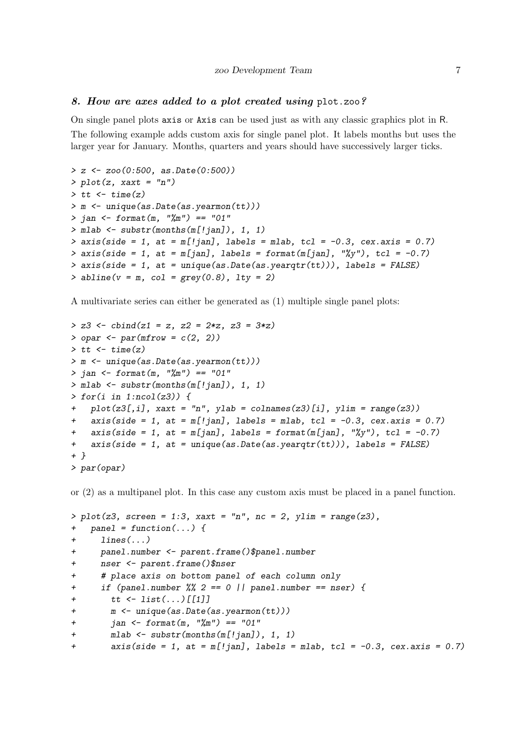#### 8. How are axes added to a plot created using plot.zoo?

On single panel plots axis or Axis can be used just as with any classic graphics plot in R. The following example adds custom axis for single panel plot. It labels months but uses the larger year for January. Months, quarters and years should have successively larger ticks.

```
> z <- zoo(0:500, as.Date(0:500))
> plot(z, xaxt = "n")
> tt <- time(z)
> m <- unique(as.Date(as.yearmon(tt)))
> jan <- format(m, "%m") == "01"
> mlab <- substr(months(m[!jan]), 1, 1)
> axis(side = 1, at = m[!jan], labels = mlab, tcl = -0.3, cex.axis = 0.7)
> axis(side = 1, at = m[jan], labels = format(m[jan], "%y"), tcl = -0.7)
> axis(side = 1, at = unique(as.Date(as.yearqtr(tt))), labels = FALSE)
> abline(v = m, col = grey(0.8), lty = 2)
```
A multivariate series can either be generated as (1) multiple single panel plots:

```
> z3 <- cbind(z1 = z, z2 = 2*z, z3 = 3*z)
> opar <- par(mfrow = c(2, 2))
> tt <- time(z)
> m <- unique(as.Date(as.yearmon(tt)))
> jan <- format(m, "%m") == "01"
> mlab <- substr(months(m[!jan]), 1, 1)
> for(i in 1:ncol(z3)) {
+ plot(z3[,i], xaxt = "n", ylab = colnames(z3)[i], ylim = range(z3))
+ axis(side = 1, at = m[!jan], labels = mlab, tcl = -0.3, cex.axis = 0.7)
+ axis(side = 1, at = m[jan], labels = format(m[jan], "%y"), tcl = -0.7)
+ axis(side = 1, at = unique(as.Date(as.yearqtr(tt))), labels = FALSE)
+ }
> par(opar)
```
or (2) as a multipanel plot. In this case any custom axis must be placed in a panel function.

```
> plot(z3, screen = 1:3, xaxt = "n", nc = 2, ylim = range(z3),
   + panel = function(...) {
+ lines(...)
+ panel.number <- parent.frame()$panel.number
+ nser <- parent.frame()$nser
+ # place axis on bottom panel of each column only
+ if (panel.number %% 2 == 0 || panel.number == nser) {
+ tt <- list(...)[[1]]
+ m <- unique(as.Date(as.yearmon(tt)))
+ jan <- format(m, "%m") == "01"
+ mlab <- substr(months(m[!jan]), 1, 1)
+ axis(side = 1, at = m[!jan], labels = mlab, tcl = -0.3, cex.axis = 0.7)
```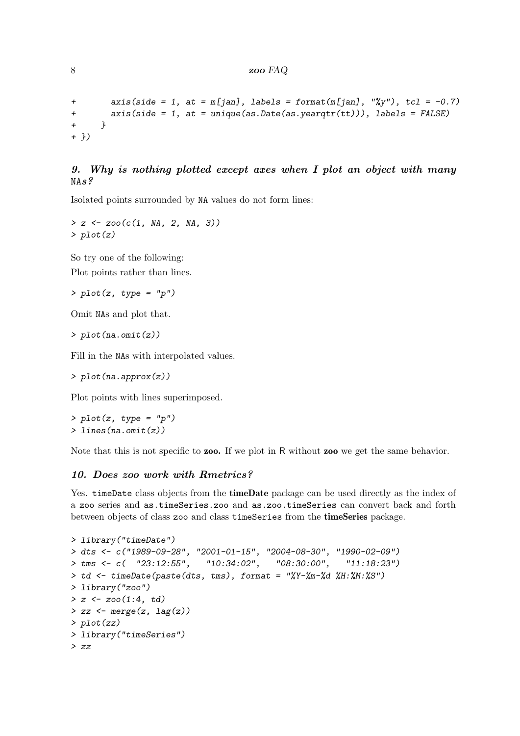```
+ axis(side = 1, at = m[jan], labels = format(m[jan], "%y"), tcl = -0.7)
+ axis(side = 1, at = unique(as.Date(as.yearqtr(tt))), labels = FALSE)
+ }
+ })
```
## 9. Why is nothing plotted except axes when I plot an object with many NAs?

Isolated points surrounded by NA values do not form lines:

```
> z <- zoo(c(1, NA, 2, NA, 3))
> plot(z)
```
So try one of the following: Plot points rather than lines.

*> plot(z, type = "p")*

Omit NAs and plot that.

*> plot(na.omit(z))*

Fill in the NAs with interpolated values.

*> plot(na.approx(z))*

Plot points with lines superimposed.

*> plot(z, type = "p") > lines(na.omit(z))*

Note that this is not specific to **zoo**. If we plot in R without **zoo** we get the same behavior.

## 10. Does zoo work with Rmetrics?

Yes. timeDate class objects from the timeDate package can be used directly as the index of a zoo series and as.timeSeries.zoo and as.zoo.timeSeries can convert back and forth between objects of class zoo and class timeSeries from the timeSeries package.

```
> library("timeDate")
> dts <- c("1989-09-28", "2001-01-15", "2004-08-30", "1990-02-09")
> tms <- c( "23:12:55", "10:34:02", "08:30:00", "11:18:23")
> td <- timeDate(paste(dts, tms), format = "%Y-%m-%d %H:%M:%S")
> library("zoo")
> z <- zoo(1:4, td)
> zz <- merge(z, lag(z))
> plot(zz)
> library("timeSeries")
> zz
```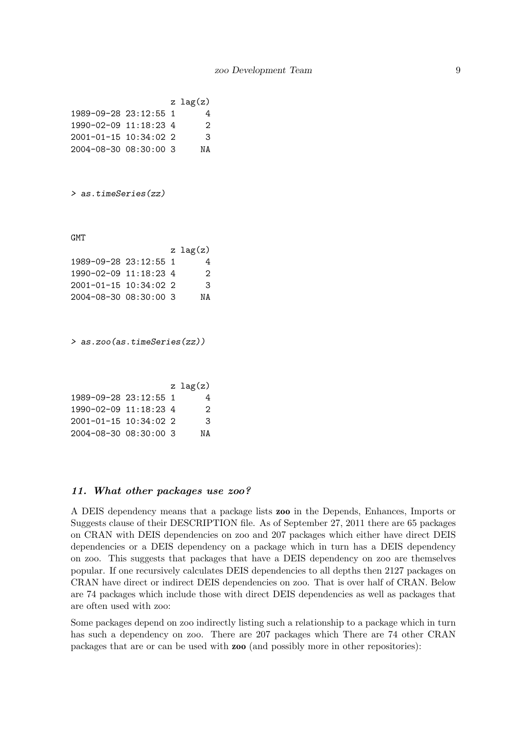|                             |  | z $\text{lag}(z)$ |
|-----------------------------|--|-------------------|
| 1989-09-28 23:12:55 1       |  | 4                 |
| 1990-02-09 11:18:23 4       |  | 2                 |
| $2001 - 01 - 15$ 10:34:02 2 |  | 3                 |
| 2004-08-30 08:30:00 3       |  | ΝA                |

*> as.timeSeries(zz)*

**GMT** 

|                       |  | $z \, \log(z)$ |
|-----------------------|--|----------------|
| 1989-09-28 23:12:55 1 |  | 4              |
| 1990-02-09 11:18:23 4 |  | 2              |
| 2001-01-15 10:34:02 2 |  | 3              |
| 2004-08-30 08:30:00 3 |  | NA             |
|                       |  |                |

*> as.zoo(as.timeSeries(zz))*

|                       |  | z $lag(z)$ |
|-----------------------|--|------------|
| 1989-09-28 23:12:55 1 |  | 4          |
| 1990-02-09 11:18:23 4 |  | 2          |
| 2001-01-15 10:34:02 2 |  | 3          |
| 2004-08-30 08:30:00 3 |  | NΔ         |

#### 11. What other packages use zoo?

A DEIS dependency means that a package lists zoo in the Depends, Enhances, Imports or Suggests clause of their DESCRIPTION file. As of September 27, 2011 there are 65 packages on CRAN with DEIS dependencies on zoo and 207 packages which either have direct DEIS dependencies or a DEIS dependency on a package which in turn has a DEIS dependency on zoo. This suggests that packages that have a DEIS dependency on zoo are themselves popular. If one recursively calculates DEIS dependencies to all depths then 2127 packages on CRAN have direct or indirect DEIS dependencies on zoo. That is over half of CRAN. Below are 74 packages which include those with direct DEIS dependencies as well as packages that are often used with zoo:

Some packages depend on zoo indirectly listing such a relationship to a package which in turn has such a dependency on zoo. There are 207 packages which There are 74 other CRAN packages that are or can be used with zoo (and possibly more in other repositories):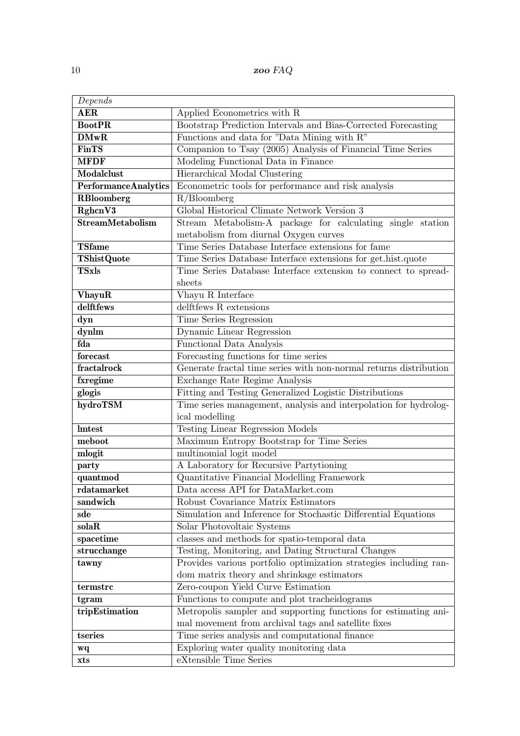| Depends                     |                                                                   |
|-----------------------------|-------------------------------------------------------------------|
| <b>AER</b>                  | Applied Econometrics with R                                       |
| <b>BootPR</b>               | Bootstrap Prediction Intervals and Bias-Corrected Forecasting     |
| <b>DMwR</b>                 | Functions and data for "Data Mining with R"                       |
| <b>FinTS</b>                | Companion to Tsay (2005) Analysis of Financial Time Series        |
| <b>MFDF</b>                 | Modeling Functional Data in Finance                               |
| Modalclust                  | Hierarchical Modal Clustering                                     |
| <b>PerformanceAnalytics</b> | Econometric tools for performance and risk analysis               |
| <b>RBloomberg</b>           | $R/B$ loomberg                                                    |
| RghcnV3                     | Global Historical Climate Network Version 3                       |
| <b>StreamMetabolism</b>     | Stream Metabolism-A package for calculating single station        |
|                             | metabolism from diurnal Oxygen curves                             |
| <b>TSfame</b>               | Time Series Database Interface extensions for fame                |
| <b>TShistQuote</b>          | Time Series Database Interface extensions for get.hist.quote      |
| <b>TSxls</b>                | Time Series Database Interface extension to connect to spread-    |
|                             | sheets                                                            |
| <b>VhayuR</b>               | Vhayu R Interface                                                 |
| delftfews                   | delftfews R extensions                                            |
| dyn                         | Time Series Regression                                            |
| dynlm                       | Dynamic Linear Regression                                         |
| fda                         | Functional Data Analysis                                          |
| forecast                    | Forecasting functions for time series                             |
| fractalrock                 | Generate fractal time series with non-normal returns distribution |
| fxregime                    | Exchange Rate Regime Analysis                                     |
| glogis                      | Fitting and Testing Generalized Logistic Distributions            |
| hydroTSM                    | Time series management, analysis and interpolation for hydrolog-  |
|                             | ical modelling                                                    |
| <b>Imtest</b>               | <b>Testing Linear Regression Models</b>                           |
| meboot                      | Maximum Entropy Bootstrap for Time Series                         |
| mlogit                      | multinomial logit model                                           |
| party                       | A Laboratory for Recursive Partytioning                           |
| quantmod                    | Quantitative Financial Modelling Framework                        |
| rdatamarket                 | Data access API for DataMarket.com                                |
| sandwich                    | Robust Covariance Matrix Estimators                               |
| sde                         | Simulation and Inference for Stochastic Differential Equations    |
| solaR                       | Solar Photovoltaic Systems                                        |
| spacetime                   | classes and methods for spatio-temporal data                      |
| strucchange                 | Testing, Monitoring, and Dating Structural Changes                |
| tawny                       | Provides various portfolio optimization strategies including ran- |
|                             | dom matrix theory and shrinkage estimators                        |
| termstrc                    | Zero-coupon Yield Curve Estimation                                |
| tgram                       | Functions to compute and plot tracheidograms                      |
| tripEstimation              | Metropolis sampler and supporting functions for estimating ani-   |
|                             | mal movement from archival tags and satellite fixes               |
| tseries                     | Time series analysis and computational finance                    |
| wq                          | Exploring water quality monitoring data                           |
| xts                         | eXtensible Time Series                                            |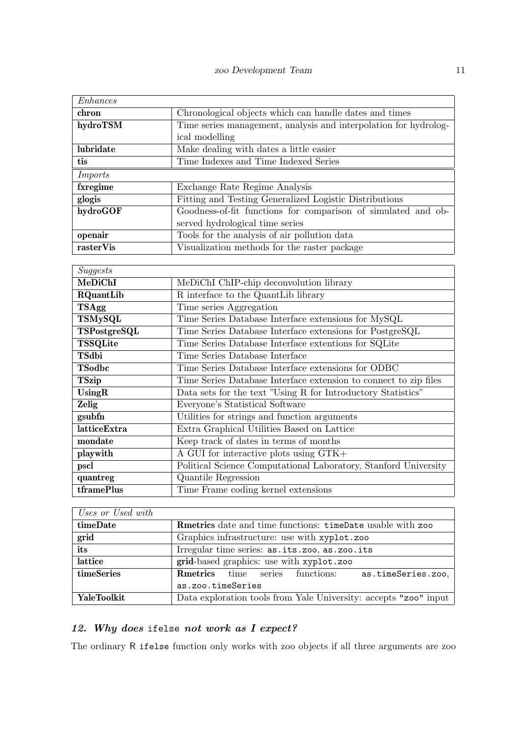| chron<br>Chronological objects which can handle dates and times<br>hydroTSM<br>Time series management, analysis and interpolation for hydrolog-<br>ical modelling<br>lubridate<br>Make dealing with dates a little easier<br>Time Indexes and Time Indexed Series<br>tis<br><b>Imports</b><br>fxregime<br>Exchange Rate Regime Analysis<br>glogis<br>Fitting and Testing Generalized Logistic Distributions<br>hydroGOF<br>Goodness-of-fit functions for comparison of simulated and ob-<br>served hydrological time series<br>Tools for the analysis of air pollution data<br>openair<br>rasterVis<br>Visualization methods for the raster package<br>Suggests<br>MeDiChI<br>MeDiChI ChIP-chip deconvolution library<br>R interface to the QuantLib library<br><b>RQuantLib</b><br>Time series Aggregation<br><b>TSAgg</b><br><b>TSMySQL</b><br>Time Series Database Interface extensions for MySQL<br>TSPostgreSQL<br>Time Series Database Interface extensions for PostgreSQL<br><b>TSSQLite</b><br>Time Series Database Interface extentions for SQLite<br>TSdbi<br>Time Series Database Interface<br>TSodbc<br>Time Series Database Interface extensions for ODBC<br><b>TSzip</b><br>Time Series Database Interface extension to connect to zip files<br>UsingR<br>Data sets for the text "Using R for Introductory Statistics"<br>Zelig<br>Everyone's Statistical Software<br>gsubfn<br>Utilities for strings and function arguments<br>latticeExtra<br>Extra Graphical Utilities Based on Lattice<br>Keep track of dates in terms of months<br>mondate<br>playwith<br>A GUI for interactive plots using GTK+<br>pscl<br>Political Science Computational Laboratory, Stanford University<br>quantreg<br>Quantile Regression<br>tframePlus<br>Time Frame coding kernel extensions<br>$\Box$ Hence on Head with | Enhances |  |  |
|---------------------------------------------------------------------------------------------------------------------------------------------------------------------------------------------------------------------------------------------------------------------------------------------------------------------------------------------------------------------------------------------------------------------------------------------------------------------------------------------------------------------------------------------------------------------------------------------------------------------------------------------------------------------------------------------------------------------------------------------------------------------------------------------------------------------------------------------------------------------------------------------------------------------------------------------------------------------------------------------------------------------------------------------------------------------------------------------------------------------------------------------------------------------------------------------------------------------------------------------------------------------------------------------------------------------------------------------------------------------------------------------------------------------------------------------------------------------------------------------------------------------------------------------------------------------------------------------------------------------------------------------------------------------------------------------------------------------------------------------------------------------------------------------------------------------|----------|--|--|
|                                                                                                                                                                                                                                                                                                                                                                                                                                                                                                                                                                                                                                                                                                                                                                                                                                                                                                                                                                                                                                                                                                                                                                                                                                                                                                                                                                                                                                                                                                                                                                                                                                                                                                                                                                                                                     |          |  |  |
|                                                                                                                                                                                                                                                                                                                                                                                                                                                                                                                                                                                                                                                                                                                                                                                                                                                                                                                                                                                                                                                                                                                                                                                                                                                                                                                                                                                                                                                                                                                                                                                                                                                                                                                                                                                                                     |          |  |  |
|                                                                                                                                                                                                                                                                                                                                                                                                                                                                                                                                                                                                                                                                                                                                                                                                                                                                                                                                                                                                                                                                                                                                                                                                                                                                                                                                                                                                                                                                                                                                                                                                                                                                                                                                                                                                                     |          |  |  |
|                                                                                                                                                                                                                                                                                                                                                                                                                                                                                                                                                                                                                                                                                                                                                                                                                                                                                                                                                                                                                                                                                                                                                                                                                                                                                                                                                                                                                                                                                                                                                                                                                                                                                                                                                                                                                     |          |  |  |
|                                                                                                                                                                                                                                                                                                                                                                                                                                                                                                                                                                                                                                                                                                                                                                                                                                                                                                                                                                                                                                                                                                                                                                                                                                                                                                                                                                                                                                                                                                                                                                                                                                                                                                                                                                                                                     |          |  |  |
|                                                                                                                                                                                                                                                                                                                                                                                                                                                                                                                                                                                                                                                                                                                                                                                                                                                                                                                                                                                                                                                                                                                                                                                                                                                                                                                                                                                                                                                                                                                                                                                                                                                                                                                                                                                                                     |          |  |  |
|                                                                                                                                                                                                                                                                                                                                                                                                                                                                                                                                                                                                                                                                                                                                                                                                                                                                                                                                                                                                                                                                                                                                                                                                                                                                                                                                                                                                                                                                                                                                                                                                                                                                                                                                                                                                                     |          |  |  |
|                                                                                                                                                                                                                                                                                                                                                                                                                                                                                                                                                                                                                                                                                                                                                                                                                                                                                                                                                                                                                                                                                                                                                                                                                                                                                                                                                                                                                                                                                                                                                                                                                                                                                                                                                                                                                     |          |  |  |
|                                                                                                                                                                                                                                                                                                                                                                                                                                                                                                                                                                                                                                                                                                                                                                                                                                                                                                                                                                                                                                                                                                                                                                                                                                                                                                                                                                                                                                                                                                                                                                                                                                                                                                                                                                                                                     |          |  |  |
|                                                                                                                                                                                                                                                                                                                                                                                                                                                                                                                                                                                                                                                                                                                                                                                                                                                                                                                                                                                                                                                                                                                                                                                                                                                                                                                                                                                                                                                                                                                                                                                                                                                                                                                                                                                                                     |          |  |  |
|                                                                                                                                                                                                                                                                                                                                                                                                                                                                                                                                                                                                                                                                                                                                                                                                                                                                                                                                                                                                                                                                                                                                                                                                                                                                                                                                                                                                                                                                                                                                                                                                                                                                                                                                                                                                                     |          |  |  |
|                                                                                                                                                                                                                                                                                                                                                                                                                                                                                                                                                                                                                                                                                                                                                                                                                                                                                                                                                                                                                                                                                                                                                                                                                                                                                                                                                                                                                                                                                                                                                                                                                                                                                                                                                                                                                     |          |  |  |
|                                                                                                                                                                                                                                                                                                                                                                                                                                                                                                                                                                                                                                                                                                                                                                                                                                                                                                                                                                                                                                                                                                                                                                                                                                                                                                                                                                                                                                                                                                                                                                                                                                                                                                                                                                                                                     |          |  |  |
|                                                                                                                                                                                                                                                                                                                                                                                                                                                                                                                                                                                                                                                                                                                                                                                                                                                                                                                                                                                                                                                                                                                                                                                                                                                                                                                                                                                                                                                                                                                                                                                                                                                                                                                                                                                                                     |          |  |  |
|                                                                                                                                                                                                                                                                                                                                                                                                                                                                                                                                                                                                                                                                                                                                                                                                                                                                                                                                                                                                                                                                                                                                                                                                                                                                                                                                                                                                                                                                                                                                                                                                                                                                                                                                                                                                                     |          |  |  |
|                                                                                                                                                                                                                                                                                                                                                                                                                                                                                                                                                                                                                                                                                                                                                                                                                                                                                                                                                                                                                                                                                                                                                                                                                                                                                                                                                                                                                                                                                                                                                                                                                                                                                                                                                                                                                     |          |  |  |
|                                                                                                                                                                                                                                                                                                                                                                                                                                                                                                                                                                                                                                                                                                                                                                                                                                                                                                                                                                                                                                                                                                                                                                                                                                                                                                                                                                                                                                                                                                                                                                                                                                                                                                                                                                                                                     |          |  |  |
|                                                                                                                                                                                                                                                                                                                                                                                                                                                                                                                                                                                                                                                                                                                                                                                                                                                                                                                                                                                                                                                                                                                                                                                                                                                                                                                                                                                                                                                                                                                                                                                                                                                                                                                                                                                                                     |          |  |  |
|                                                                                                                                                                                                                                                                                                                                                                                                                                                                                                                                                                                                                                                                                                                                                                                                                                                                                                                                                                                                                                                                                                                                                                                                                                                                                                                                                                                                                                                                                                                                                                                                                                                                                                                                                                                                                     |          |  |  |
|                                                                                                                                                                                                                                                                                                                                                                                                                                                                                                                                                                                                                                                                                                                                                                                                                                                                                                                                                                                                                                                                                                                                                                                                                                                                                                                                                                                                                                                                                                                                                                                                                                                                                                                                                                                                                     |          |  |  |
|                                                                                                                                                                                                                                                                                                                                                                                                                                                                                                                                                                                                                                                                                                                                                                                                                                                                                                                                                                                                                                                                                                                                                                                                                                                                                                                                                                                                                                                                                                                                                                                                                                                                                                                                                                                                                     |          |  |  |
|                                                                                                                                                                                                                                                                                                                                                                                                                                                                                                                                                                                                                                                                                                                                                                                                                                                                                                                                                                                                                                                                                                                                                                                                                                                                                                                                                                                                                                                                                                                                                                                                                                                                                                                                                                                                                     |          |  |  |
|                                                                                                                                                                                                                                                                                                                                                                                                                                                                                                                                                                                                                                                                                                                                                                                                                                                                                                                                                                                                                                                                                                                                                                                                                                                                                                                                                                                                                                                                                                                                                                                                                                                                                                                                                                                                                     |          |  |  |
|                                                                                                                                                                                                                                                                                                                                                                                                                                                                                                                                                                                                                                                                                                                                                                                                                                                                                                                                                                                                                                                                                                                                                                                                                                                                                                                                                                                                                                                                                                                                                                                                                                                                                                                                                                                                                     |          |  |  |
|                                                                                                                                                                                                                                                                                                                                                                                                                                                                                                                                                                                                                                                                                                                                                                                                                                                                                                                                                                                                                                                                                                                                                                                                                                                                                                                                                                                                                                                                                                                                                                                                                                                                                                                                                                                                                     |          |  |  |
|                                                                                                                                                                                                                                                                                                                                                                                                                                                                                                                                                                                                                                                                                                                                                                                                                                                                                                                                                                                                                                                                                                                                                                                                                                                                                                                                                                                                                                                                                                                                                                                                                                                                                                                                                                                                                     |          |  |  |
|                                                                                                                                                                                                                                                                                                                                                                                                                                                                                                                                                                                                                                                                                                                                                                                                                                                                                                                                                                                                                                                                                                                                                                                                                                                                                                                                                                                                                                                                                                                                                                                                                                                                                                                                                                                                                     |          |  |  |
|                                                                                                                                                                                                                                                                                                                                                                                                                                                                                                                                                                                                                                                                                                                                                                                                                                                                                                                                                                                                                                                                                                                                                                                                                                                                                                                                                                                                                                                                                                                                                                                                                                                                                                                                                                                                                     |          |  |  |
|                                                                                                                                                                                                                                                                                                                                                                                                                                                                                                                                                                                                                                                                                                                                                                                                                                                                                                                                                                                                                                                                                                                                                                                                                                                                                                                                                                                                                                                                                                                                                                                                                                                                                                                                                                                                                     |          |  |  |
|                                                                                                                                                                                                                                                                                                                                                                                                                                                                                                                                                                                                                                                                                                                                                                                                                                                                                                                                                                                                                                                                                                                                                                                                                                                                                                                                                                                                                                                                                                                                                                                                                                                                                                                                                                                                                     |          |  |  |
|                                                                                                                                                                                                                                                                                                                                                                                                                                                                                                                                                                                                                                                                                                                                                                                                                                                                                                                                                                                                                                                                                                                                                                                                                                                                                                                                                                                                                                                                                                                                                                                                                                                                                                                                                                                                                     |          |  |  |
|                                                                                                                                                                                                                                                                                                                                                                                                                                                                                                                                                                                                                                                                                                                                                                                                                                                                                                                                                                                                                                                                                                                                                                                                                                                                                                                                                                                                                                                                                                                                                                                                                                                                                                                                                                                                                     |          |  |  |
|                                                                                                                                                                                                                                                                                                                                                                                                                                                                                                                                                                                                                                                                                                                                                                                                                                                                                                                                                                                                                                                                                                                                                                                                                                                                                                                                                                                                                                                                                                                                                                                                                                                                                                                                                                                                                     |          |  |  |

| Uses or Usea with |                                                                     |  |  |
|-------------------|---------------------------------------------------------------------|--|--|
| timeDate          | <b>Reference</b> date and time functions: time Date usable with zoo |  |  |
| grid              | Graphics infrastructure: use with xyplot.zoo                        |  |  |
| its               | Irregular time series: as.its.zoo, as.zoo.its                       |  |  |
| lattice           | grid-based graphics: use with xyplot.zoo                            |  |  |
| timeSeries        | <b>Rmetrics</b> time series functions:<br>as.timeSeries.zoo,        |  |  |
|                   | as.zoo.timeSeries                                                   |  |  |
| YaleToolkit       | Data exploration tools from Yale University: accepts "zoo" input    |  |  |

## 12. Why does ifelse not work as I expect?

The ordinary R ifelse function only works with zoo objects if all three arguments are zoo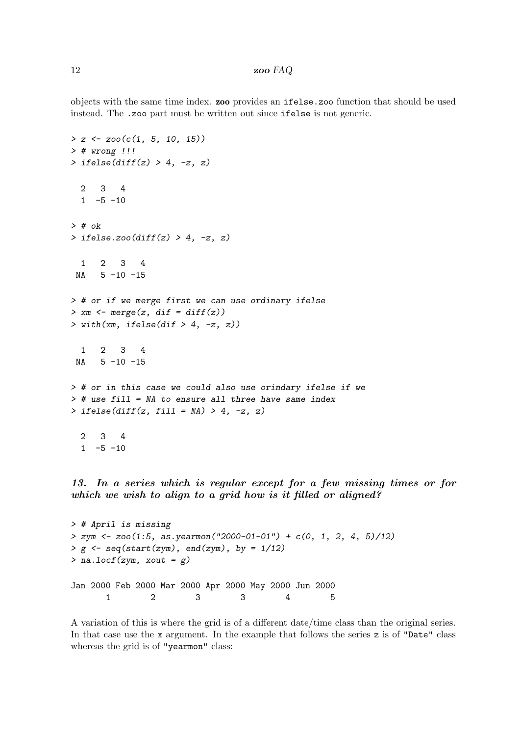objects with the same time index. zoo provides an ifelse.zoo function that should be used instead. The .zoo part must be written out since ifelse is not generic.

```
> z <- zoo(c(1, 5, 10, 15))
> # wrong !!!
> ifelse(diff(z) > 4, -z, z)
 2 3 4
 1 -5 -10> # ok
> ifelse.zoo(diff(z) > 4, -z, z)
 1 2 3 4
NA 5 -10 -15
> # or if we merge first we can use ordinary ifelse
> xm <- merge(z, dif = diff(z))
> with(xm, ifelse(dif > 4, -z, z))
 1 2 3 4
NA 5 -10 -15
> # or in this case we could also use orindary ifelse if we
> # use fill = NA to ensure all three have same index
> ifelse(diff(z, fill = NA) > 4, -z, z)
 2 3 4
 1 -5 -10
```
13. In a series which is regular except for a few missing times or for which we wish to align to a grid how is it filled or aligned?

```
> # April is missing
> zym <- zoo(1:5, as.yearmon("2000-01-01") + c(0, 1, 2, 4, 5)/12)
> g <- seq(start(zym), end(zym), by = 1/12)
> na.locf(zym, xout = g)
Jan 2000 Feb 2000 Mar 2000 Apr 2000 May 2000 Jun 2000
      1 2 3 3 4 5
```
A variation of this is where the grid is of a different date/time class than the original series. In that case use the x argument. In the example that follows the series z is of "Date" class whereas the grid is of "yearmon" class: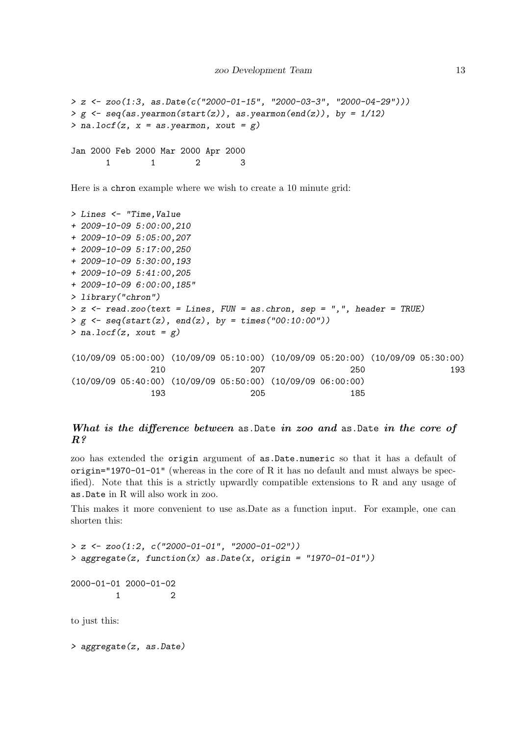```
> z <- zoo(1:3, as.Date(c("2000-01-15", "2000-03-3", "2000-04-29")))
> g <- seq(as.yearmon(start(z)), as.yearmon(end(z)), by = 1/12)
> na.locf(z, x = as.yearmon, xout = g)
Jan 2000 Feb 2000 Mar 2000 Apr 2000
      1 1 2 3
```
Here is a chron example where we wish to create a 10 minute grid:

```
> Lines <- "Time,Value
+ 2009-10-09 5:00:00,210
+ 2009-10-09 5:05:00,207
+ 2009-10-09 5:17:00,250
+ 2009-10-09 5:30:00,193
+ 2009-10-09 5:41:00,205
+ 2009-10-09 6:00:00,185"
> library("chron")
> z <- read.zoo(text = Lines, FUN = as.chron, sep = ",", header = TRUE)
> g <- seq(start(z), end(z), by = times("00:10:00"))
> na.locf(z, xout = g)
(10/09/09 05:00:00) (10/09/09 05:10:00) (10/09/09 05:20:00) (10/09/09 05:30:00)
              210 207 250 193
(10/09/09 05:40:00) (10/09/09 05:50:00) (10/09/09 06:00:00)
              193 205 185
```
## What is the difference between as Date in zoo and as Date in the core of  $R<sup>2</sup>$

zoo has extended the origin argument of as.Date.numeric so that it has a default of  $origin="1970-01-01"$  (whereas in the core of R it has no default and must always be specified). Note that this is a strictly upwardly compatible extensions to R and any usage of as.Date in R will also work in zoo.

This makes it more convenient to use as.Date as a function input. For example, one can shorten this:

```
> z <- zoo(1:2, c("2000-01-01", "2000-01-02"))
> aggregate(z, function(x) as.Date(x, origin = "1970-01-01"))
2000-01-01 2000-01-02
         1 2
to just this:
```
*> aggregate(z, as.Date)*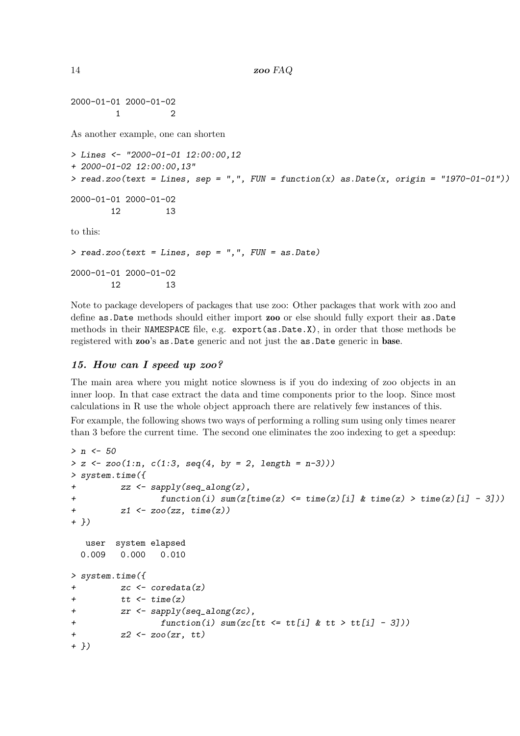2000-01-01 2000-01-02 1 2

As another example, one can shorten

```
> Lines <- "2000-01-01 12:00:00,12
+ 2000-01-02 12:00:00,13"
> read.zoo(text = Lines, sep = ",", FUN = function(x) as.Date(x, origin = "1970-01-01"))
2000-01-01 2000-01-02
       12 13
to this:
> read.zoo(text = Lines, sep = ",", FUN = as.Date)
2000-01-01 2000-01-02
       12 13
```
Note to package developers of packages that use zoo: Other packages that work with zoo and define as. Date methods should either import zoo or else should fully export their as. Date methods in their NAMESPACE file, e.g. export(as.Date.X), in order that those methods be registered with zoo's as.Date generic and not just the as.Date generic in base.

#### 15. How can I speed up zoo?

The main area where you might notice slowness is if you do indexing of zoo objects in an inner loop. In that case extract the data and time components prior to the loop. Since most calculations in R use the whole object approach there are relatively few instances of this.

For example, the following shows two ways of performing a rolling sum using only times nearer than 3 before the current time. The second one eliminates the zoo indexing to get a speedup:

```
> n <- 50
> z <- zoo(1:n, c(1:3, seq(4, by = 2, length = n-3)))
> system.time({
+ zz <- sapply(seq_along(z),
+ function(i) sum(z[time(z) <= time(z)[i] & time(z) > time(z)[i] - 3]))
+ z1 <- zoo(zz, time(z))
+ })
  user system elapsed
 0.009 0.000 0.010
> system.time({
+ zc <- coredata(z)
+ tt <- time(z)
+ zr <- sapply(seq_along(zc),
+ function(i) sum(zc[tt <= tt[i] & tt > tt[i] - 3]))
+ z2 <- zoo(zr, tt)
+ })
```